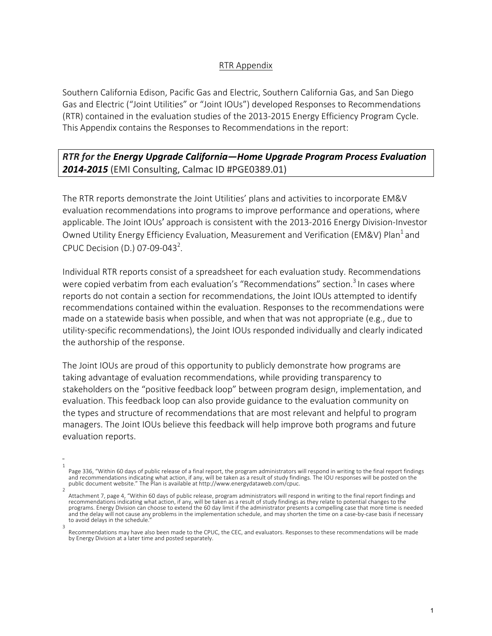## RTR Appendix

Southern California Edison, Pacific Gas and Electric, Southern California Gas, and San Diego Gas and Electric ("Joint Utilities" or "Joint IOUs") developed Responses to Recommendations (RTR) contained in the evaluation studies of the 2013-2015 Energy Efficiency Program Cycle. This Appendix contains the Responses to Recommendations in the report:

## **RTR** for the Energy Upgrade California-Home Upgrade Program Process Evaluation **2014-2015** (EMI Consulting, Calmac ID #PGE0389.01)

The RTR reports demonstrate the Joint Utilities' plans and activities to incorporate EM&V evaluation recommendations into programs to improve performance and operations, where applicable. The Joint IOUs' approach is consistent with the 2013-2016 Energy Division-Investor Owned Utility Energy Efficiency Evaluation, Measurement and Verification (EM&V) Plan<sup>1</sup> and CPUC Decision (D.) 07-09-043<sup>2</sup>.

Individual RTR reports consist of a spreadsheet for each evaluation study. Recommendations were copied verbatim from each evaluation's "Recommendations" section.<sup>3</sup> In cases where reports do not contain a section for recommendations, the Joint IOUs attempted to identify recommendations contained within the evaluation. Responses to the recommendations were made on a statewide basis when possible, and when that was not appropriate (e.g., due to utility-specific recommendations), the Joint IOUs responded individually and clearly indicated the authorship of the response.

The Joint IOUs are proud of this opportunity to publicly demonstrate how programs are taking advantage of evaluation recommendations, while providing transparency to stakeholders on the "positive feedback loop" between program design, implementation, and evaluation. This feedback loop can also provide guidance to the evaluation community on the types and structure of recommendations that are most relevant and helpful to program managers. The Joint IOUs believe this feedback will help improve both programs and future evaluation reports.

<sup>1</sup> Page 336, "Within 60 days of public release of a final report, the program administrators will respond in writing to the final report findings and recommendations indicating what action, if any, will be taken as a result of study findings. The IOU responses will be posted on the public document website." The Plan is available at http://www.energydataweb.com/cpuc.

<sup>2</sup> Attachment 7, page 4, "Within 60 days of public release, program administrators will respond in writing to the final report findings and recommendations indicating what action, if any, will be taken as a result of study findings as they relate to potential changes to the programs. Energy Division can choose to extend the 60 day limit if the administrator presents a compelling case that more time is needed and the delay will not cause any problems in the implementation schedule, and may shorten the time on a case-by-case basis if necessary to avoid delays in the schedule. 3

Recommendations may have also been made to the CPUC, the CEC, and evaluators. Responses to these recommendations will be made by Energy Division at a later time and posted separately.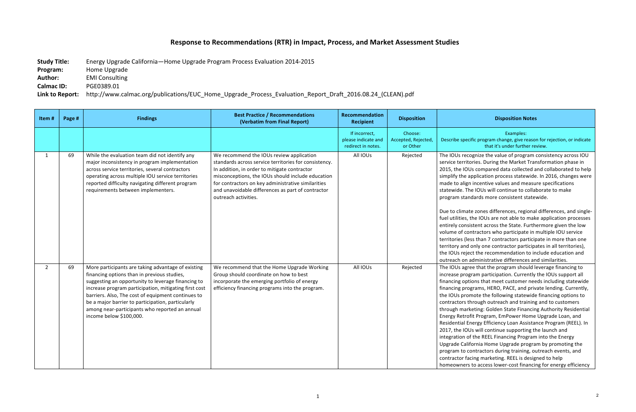# **Response to Recommendations (RTR) in Impact, Process, and Market Assessment Studies**

**Study Title:** Energy Upgrade California—Home Upgrade Program Process Evaluation 2014-2015

**Program:** Home Upgrade

**Author:** EMI Consulting

#### **Disposition Notes**

**Calmac ID:** PGE0389.01

Link to Report: http://www.calmac.org/publications/EUC\_Home\_Upgrade\_Process\_Evaluation\_Report\_Draft\_2016.08.24\_(CLEAN).pdf

Examples: ific program change, give reason for rejection, or indicate that it's under further review.

ognize the value of program consistency across IOU ories. During the Market Transformation phase in Us compared data collected and collaborated to help application process statewide. In 2016, changes were incentive values and measure specifications ie IOUs will continue to collaborate to make dards more consistent statewide.

te zones differences, regional differences, and singlethe IOUs are not able to make application processes istent across the State. Furthermore given the low ntractors who participate in multiple IOU service ess than 7 contractors participate in more than one only one contractor participates in all territories), ect the recommendation to include education and administrative differences and similarities. ee that the program should leverage financing to ram participation. Currently the IOUs support all ions that meet customer needs including statewide grams, HERO, PACE, and private lending. Currently, mote the following statewide financing options to hrough outreach and training and to customers teting: Golden State Financing Authority Residential fit Program, EmPower Home Upgrade Loan, and nergy Efficiency Loan Assistance Program (REEL). In Us will continue supporting the launch and f the REEL Financing Program into the Energy fornia Home Upgrade program by promoting the ontractors during training, outreach events, and cing marketing. REEL is designed to help to access lower-cost financing for energy efficiency

| Item#          | Page # | <b>Findings</b>                                                                                                                                                                                                                                                                                                                                                                                          | <b>Best Practice / Recommendations</b><br>(Verbatim from Final Report)                                                                                                                                                                                                                                                                    | Recommendation<br><b>Recipient</b>                         | <b>Disposition</b>                         |                                                                                                                                                                                                                                                                  |
|----------------|--------|----------------------------------------------------------------------------------------------------------------------------------------------------------------------------------------------------------------------------------------------------------------------------------------------------------------------------------------------------------------------------------------------------------|-------------------------------------------------------------------------------------------------------------------------------------------------------------------------------------------------------------------------------------------------------------------------------------------------------------------------------------------|------------------------------------------------------------|--------------------------------------------|------------------------------------------------------------------------------------------------------------------------------------------------------------------------------------------------------------------------------------------------------------------|
|                |        |                                                                                                                                                                                                                                                                                                                                                                                                          |                                                                                                                                                                                                                                                                                                                                           | If incorrect,<br>please indicate and<br>redirect in notes. | Choose:<br>Accepted, Rejected,<br>or Other | Describe spec                                                                                                                                                                                                                                                    |
| $\mathbf{1}$   | 69     | While the evaluation team did not identify any<br>major inconsistency in program implementation<br>across service territories, several contractors<br>operating across multiple IOU service territories<br>reported difficulty navigating different program<br>requirements between implementers.                                                                                                        | We recommend the IOUs review application<br>standards across service territories for consistency.<br>In addition, in order to mitigate contractor<br>misconceptions, the IOUs should include education<br>for contractors on key administrative similarities<br>and unavoidable differences as part of contractor<br>outreach activities. | All IOUs                                                   | Rejected                                   | The IOUs reco<br>service territ<br>2015, the IOL<br>simplify the a<br>made to aligr<br>statewide. Th<br>program stan<br>Due to climat<br>fuel utilities,<br>entirely consi<br>volume of co<br>territories (le<br>territory and<br>the IOUs reje<br>outreach on a |
| $\overline{2}$ | 69     | More participants are taking advantage of existing<br>financing options than in previous studies,<br>suggesting an opportunity to leverage financing to<br>increase program participation, mitigating first cost<br>barriers. Also, The cost of equipment continues to<br>be a major barrier to participation, particularly<br>among near-participants who reported an annual<br>income below \$100,000. | We recommend that the Home Upgrade Working<br>Group should coordinate on how to best<br>incorporate the emerging portfolio of energy<br>efficiency financing programs into the program.                                                                                                                                                   | All IOUs                                                   | Rejected                                   | The IOUs agre<br>increase prog<br>financing opt<br>financing pro<br>the IOUs pror<br>contractors tl<br>through mark<br>Energy Retro<br>Residential Er<br>2017, the IOL<br>integration of<br><b>Upgrade Calif</b><br>program to co<br>contractor fa<br>homeowners |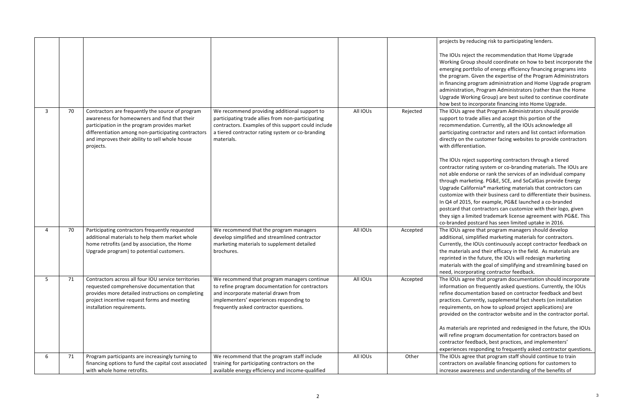### reducing risk to participating lenders.

ect the recommendation that Home Upgrade oup should coordinate on how to best incorporate the ortfolio of energy efficiency financing programs into . Given the expertise of the Program Administrators program administration and Home Upgrade program on, Program Administrators (rather than the Home orking Group) are best suited to continue coordinate incorporate financing into Home Upgrade. ree that Program Administrators should provide rade allies and accept this portion of the ation. Currently, all the IOUs acknowledge all contractor and raters and list contact information he customer facing websites to provide contractors ntiation.

ect supporting contractors through a tiered ating system or co-branding materials. The IOUs are lorse or rank the services of an individual company rketing. PG&E, SCE, and SoCalGas provide Energy ifornia<sup>®</sup> marketing materials that contractors can ith their business card to differentiate their business. 5, for example, PG&E launched a co-branded at contractors can customize with their logo, given imited trademark license agreement with PG&E. This postcard has seen limited uptake in 2016. ree that program managers should develop

implified marketing materials for contractors. e IOUs continuously accept contractor feedback on s and their efficacy in the field. As materials are the future, the IOUs will redesign marketing th the goal of simplifying and streamlining based on orating contractor feedback.

ree that program documentation should incorporate on frequently asked questions. Currently, the IOUs nentation based on contractor feedback and best arrently, supplemental fact sheets (on installation ts, on how to upload project applications) are the contractor website and in the contractor portal.

are reprinted and redesigned in the future, the IOUs rogram documentation for contractors based on eedback, best practices, and implementers' responding to frequently asked contractor questions. ree that program staff should continue to train on available financing options for customers to areness and understanding of the benefits of

|   |    |                                                                                     |                                                     |          |          | projects by re                                     |
|---|----|-------------------------------------------------------------------------------------|-----------------------------------------------------|----------|----------|----------------------------------------------------|
|   |    |                                                                                     |                                                     |          |          | The IOUs reje<br><b>Working Gro</b><br>emerging po |
|   |    |                                                                                     |                                                     |          |          | the program.                                       |
|   |    |                                                                                     |                                                     |          |          | in financing p                                     |
|   |    |                                                                                     |                                                     |          |          | administratio<br>Upgrade Wo                        |
|   |    |                                                                                     |                                                     |          |          | how best to                                        |
| 3 | 70 | Contractors are frequently the source of program                                    | We recommend providing additional support to        | All IOUs | Rejected | The IOUs agr                                       |
|   |    | awareness for homeowners and find that their                                        | participating trade allies from non-participating   |          |          | support to tr                                      |
|   |    | participation in the program provides market                                        | contractors. Examples of this support could include |          |          | recommenda                                         |
|   |    | differentiation among non-participating contractors                                 | a tiered contractor rating system or co-branding    |          |          | participating                                      |
|   |    | and improves their ability to sell whole house<br>projects.                         | materials.                                          |          |          | directly on th<br>with differen                    |
|   |    |                                                                                     |                                                     |          |          |                                                    |
|   |    |                                                                                     |                                                     |          |          | The IOUs reje                                      |
|   |    |                                                                                     |                                                     |          |          | contractor ra                                      |
|   |    |                                                                                     |                                                     |          |          | not able end                                       |
|   |    |                                                                                     |                                                     |          |          | through mar                                        |
|   |    |                                                                                     |                                                     |          |          | Upgrade Cali                                       |
|   |    |                                                                                     |                                                     |          |          | customize wi<br>In Q4 of 201                       |
|   |    |                                                                                     |                                                     |          |          | postcard that                                      |
|   |    |                                                                                     |                                                     |          |          | they sign a li                                     |
|   |    |                                                                                     |                                                     |          |          | co-branded p                                       |
| 4 | 70 | Participating contractors frequently requested                                      | We recommend that the program managers              | All IOUs | Accepted | The IOUs agr                                       |
|   |    | additional materials to help them market whole                                      | develop simplified and streamlined contractor       |          |          | additional, si                                     |
|   |    | home retrofits (and by association, the Home                                        | marketing materials to supplement detailed          |          |          | Currently, th                                      |
|   |    | Upgrade program) to potential customers.                                            | brochures.                                          |          |          | the materials<br>reprinted in t                    |
|   |    |                                                                                     |                                                     |          |          | materials wit                                      |
|   |    |                                                                                     |                                                     |          |          | need, incorp                                       |
| 5 | 71 | Contractors across all four IOU service territories                                 | We recommend that program managers continue         | All IOUs | Accepted | The IOUs agr                                       |
|   |    | requested comprehensive documentation that                                          | to refine program documentation for contractors     |          |          | information                                        |
|   |    | provides more detailed instructions on completing                                   | and incorporate material drawn from                 |          |          | refine docun                                       |
|   |    | project incentive request forms and meeting                                         | implementers' experiences responding to             |          |          | practices. Cu                                      |
|   |    | installation requirements.                                                          | frequently asked contractor questions.              |          |          | requirement<br>provided on                         |
|   |    |                                                                                     |                                                     |          |          |                                                    |
|   |    |                                                                                     |                                                     |          |          | As materials                                       |
|   |    |                                                                                     |                                                     |          |          | will refine pr                                     |
|   |    |                                                                                     |                                                     |          |          | contractor fe                                      |
|   |    |                                                                                     |                                                     |          |          | experiences                                        |
| 6 | 71 | Program participants are increasingly turning to                                    | We recommend that the program staff include         | All IOUs | Other    | The IOUs agr                                       |
|   |    | financing options to fund the capital cost associated<br>with whole home retrofits. | training for participating contractors on the       |          |          | contractors o                                      |
|   |    |                                                                                     | available energy efficiency and income-qualified    |          |          | increase awa                                       |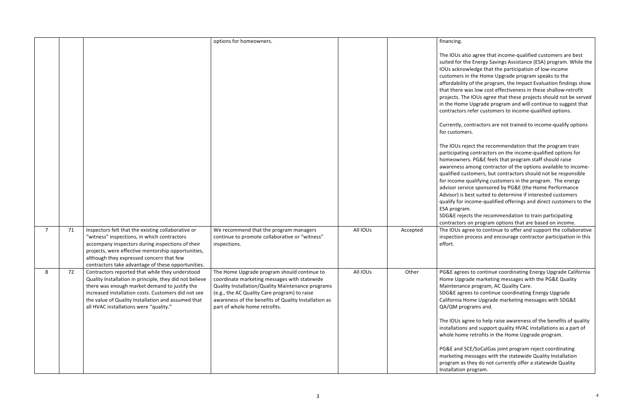so agree that income-qualified customers are best ne Energy Savings Assistance (ESA) program. While the wledge that the participation of low-income in the Home Upgrade program speaks to the of the program, the Impact Evaluation findings show ras low cost effectiveness in these shallow-retrofit e IOUs agree that these projects should not be served Upgrade program and will continue to suggest that refer customers to income-qualified options.

ontractors are not trained to income-qualify options  $rs.$ 

ject the recommendation that the program train g contractors on the income-qualified options for rs. PG&E feels that program staff should raise among contractor of the options available to incomestomers, but contractors should not be responsible qualifying customers in the program. The energy ice sponsored by PG&E (the Home Performance est suited to determine if interested customers icome-qualified offerings and direct customers to the m.

cts the recommendation to train participating on program options that are based on income. ree to continue to offer and support the collaborative process and encourage contractor participation in this

es to continue coordinating Energy Upgrade California ade marketing messages with the PG&E Quality ce program, AC Quality Care.

es to continue coordinating Energy Upgrade ome Upgrade marketing messages with SDG&E grams and.

ree to help raise awareness of the benefits of quality and support quality HVAC installations as a part of retrofits in the Home Upgrade program.

CE/SoCalGas joint program reject coordinating nessages with the statewide Quality Installation they do not currently offer a statewide Quality program.

|   |    |                                                         | options for homeowners.                              |          |          | financing.                    |
|---|----|---------------------------------------------------------|------------------------------------------------------|----------|----------|-------------------------------|
|   |    |                                                         |                                                      |          |          |                               |
|   |    |                                                         |                                                      |          |          | The IOUs als<br>suited for th |
|   |    |                                                         |                                                      |          |          | IOUs acknov                   |
|   |    |                                                         |                                                      |          |          | customers in                  |
|   |    |                                                         |                                                      |          |          | affordability                 |
|   |    |                                                         |                                                      |          |          | that there w                  |
|   |    |                                                         |                                                      |          |          | projects. The                 |
|   |    |                                                         |                                                      |          |          | in the Home                   |
|   |    |                                                         |                                                      |          |          | contractors                   |
|   |    |                                                         |                                                      |          |          |                               |
|   |    |                                                         |                                                      |          |          | Currently, co                 |
|   |    |                                                         |                                                      |          |          | for custome                   |
|   |    |                                                         |                                                      |          |          | The IOUs rej                  |
|   |    |                                                         |                                                      |          |          | participating                 |
|   |    |                                                         |                                                      |          |          | homeowner                     |
|   |    |                                                         |                                                      |          |          | awareness a                   |
|   |    |                                                         |                                                      |          |          | qualified cus                 |
|   |    |                                                         |                                                      |          |          | for income o                  |
|   |    |                                                         |                                                      |          |          | advisor serv                  |
|   |    |                                                         |                                                      |          |          | Advisor) is b                 |
|   |    |                                                         |                                                      |          |          | qualify for ir                |
|   |    |                                                         |                                                      |          |          | ESA program                   |
|   |    |                                                         |                                                      |          |          | SDG&E rejec                   |
|   |    |                                                         |                                                      |          |          | contractors                   |
| 7 | 71 | Inspectors felt that the existing collaborative or      | We recommend that the program managers               | All IOUs | Accepted | The IOUs ag                   |
|   |    | "witness" inspections, in which contractors             | continue to promote collaborative or "witness"       |          |          | inspection p                  |
|   |    | accompany inspectors during inspections of their        | inspections.                                         |          |          | effort.                       |
|   |    | projects, were effective mentorship opportunities,      |                                                      |          |          |                               |
|   |    | although they expressed concern that few                |                                                      |          |          |                               |
|   |    | contractors take advantage of these opportunities.      |                                                      |          |          |                               |
| 8 | 72 | Contractors reported that while they understood         | The Home Upgrade program should continue to          | All IOUs | Other    | PG&E agrees                   |
|   |    | Quality Installation in principle, they did not believe | coordinate marketing messages with statewide         |          |          | Home Upgra                    |
|   |    | there was enough market demand to justify the           | Quality Installation/Quality Maintenance programs    |          |          | Maintenanc                    |
|   |    | increased installation costs. Customers did not see     | (e.g., the AC Quality Care program) to raise         |          |          | SDG&E agre                    |
|   |    | the value of Quality Installation and assumed that      | awareness of the benefits of Quality Installation as |          |          | California Ho                 |
|   |    | all HVAC installations were "quality."                  | part of whole home retrofits.                        |          |          | QA/QM prog                    |
|   |    |                                                         |                                                      |          |          | The IOUs ag                   |
|   |    |                                                         |                                                      |          |          | installations                 |
|   |    |                                                         |                                                      |          |          | whole home                    |
|   |    |                                                         |                                                      |          |          | PG&E and S                    |
|   |    |                                                         |                                                      |          |          | marketing m                   |
|   |    |                                                         |                                                      |          |          | program as t                  |
|   |    |                                                         |                                                      |          |          | Installation (                |
|   |    |                                                         |                                                      |          |          |                               |